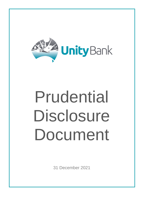

# Prudential Disclosure Document

31 December 2021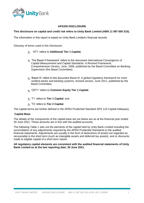

### **APS330 DISCLOSURE**

### **This disclosure on capital and credit risk refers to Unity Bank Limited (ABN 11 087 650 315).**

The information in this report is based on Unity Bank Limited's financial records.

Glossary of terms used in this Disclosure:

- 'AT1' refers to **Additional Tier 1 Capital;**
- 'The Basel II framework' refers to the document *International Convergence of Capital Measurement and Capital Standards*: *A Revised Framework*, Comprehensive Version¸ June 2006, published by the Basel Committee on Banking Supervision (the Basel Committee);
- 'Basel III' refers to the document *Basel III: A global regulatory framework for more resilient banks and banking systems*, revised version, June 2011, published by the Basel Committee;
- 'CET1' refers to **Common Equity Tier 1 Capital**;
- 'T1' refers to **Tier 1 Capital**; and
- 'T2' refers to **Tier 2 Capital**.

The capital terms are further defined in the APRA Prudential Standard APS 110 Capital Adequacy.

#### **Capital Base**

The details of the components of the capital base set out below are as at the financial year ended 30 June 2021. These amounts are in line with the audited accounts.

The following Table 1 sets out the elements of the capital held by Unity Bank Limited including the reconciliation of any adjustments required by the APRA Prudential Standards to the audited financial statements. Adjustments are usually in the form of deductions of assets not regarded as recoverable in the short term (such as intangible assets and deferred tax assets), and or discounts made to eligible capital of a short term nature.

#### **All regulatory capital elements are consistent with the audited financial statements of Unity Bank Limited as at the last reporting date, 30 June 2021.**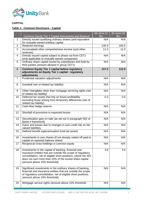

# **CAPITAL**

## **Table 1: Common Disclosure - Capital**

|                |                                                                                                                                                                                                                                                                                | 30-June-21    | 30-June-20    |
|----------------|--------------------------------------------------------------------------------------------------------------------------------------------------------------------------------------------------------------------------------------------------------------------------------|---------------|---------------|
|                | Common Equity Tier 1 Capital Instruments and Reserve                                                                                                                                                                                                                           | $\mathsf{Sm}$ | $\mathsf{Sm}$ |
| 1              | Directly issued qualifying ordinary shares (and equivalent<br>for mutually-owned entities) capital                                                                                                                                                                             | N/A           | N/A           |
| $\overline{2}$ | Retained earnings                                                                                                                                                                                                                                                              | 105.9         | 100.5         |
| 3              | Accumulated other comprehensive income (and other<br>reserves)                                                                                                                                                                                                                 | 11.3          | 12.0          |
| 4              | Directly issued capital subject to phase out from CET1<br>(only applicable to mutually-owned companies)                                                                                                                                                                        | N/A           | N/A           |
| 5              | Ordinary share capital issued by subsidiaries and held by<br>third parties (amount allowed in group CET1)                                                                                                                                                                      | N/A           | N/A           |
| 6              | <b>Common Equity Tier 1 capital before regulatory</b><br>adjustments on Equity Tier 1 capital : regulatory<br>adjustments                                                                                                                                                      | 117.2         | 112.5         |
| $\overline{7}$ | Prudential valuation adjustments                                                                                                                                                                                                                                               | N/A           | N/A           |
| 8              | Goodwill (net of related tax liability)                                                                                                                                                                                                                                        | N/A           | N/A           |
| 9              | Other intangibles other than mortgage servicing rights (net<br>of related tax liability)                                                                                                                                                                                       | N/A           | N/A           |
| 10             | Deferred tax assets that rely on future profitability<br>excluding those arising from temporary differences (net of<br>related tax liability)                                                                                                                                  | 0.3           | 0.5           |
| 11             | Cash-flow hedge reserve                                                                                                                                                                                                                                                        | N/A           | N/A           |
| 12             | Shortfall of provisions to expected losses                                                                                                                                                                                                                                     | N/A           | N/A           |
| 13             | Securitisation gain on sale (as set out in paragraph 562 of<br>Basel II framework)                                                                                                                                                                                             | N/A           | N/A           |
| 14             | Gains and losses due to changes in own credit risk on fair<br>valued liabilities                                                                                                                                                                                               | N/A           | N/A           |
| 15             | Defined benefit superannuation fund net assets                                                                                                                                                                                                                                 | N/A           | N/A           |
| 16             | Investments in own shares (if not already netted off paid-in<br>capital on reported balance sheet)                                                                                                                                                                             | N/A           | N/A           |
| 17             | Reciprocal cross-holdings in common equity                                                                                                                                                                                                                                     | N/A           | N/A           |
| 18             | Investments in the capital of banking, financial and<br>insurance entities that are outside the scope of regulatory<br>consolidation, net of eligible short positions, where the ADI<br>does not own more than 10% of the issued share capital<br>(amount above 10% threshold) | 3.8           | 3.6           |
| 19             | Significant investments in the ordinary shares of banking,<br>financial and insurance entities that are outside the scope<br>of regulatory consolidation, net of eligible short positions<br>(amount above 10% threshold)                                                      | N/A           | N/A           |
| 20             | Mortgage service rights (amount above 10% threshold                                                                                                                                                                                                                            | N/A           | N/A           |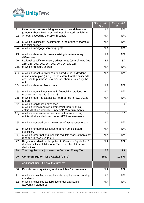

|     |                                                                                                                                                                                              | 30-June-21<br>\$m\$ | 30-June-20<br>$\mathsf{Sm}$ |
|-----|----------------------------------------------------------------------------------------------------------------------------------------------------------------------------------------------|---------------------|-----------------------------|
| 21  | Deferred tax assets arising from temporary differences<br>(amount above 10% threshold, net of related tax liability)                                                                         | N/A                 | N/A                         |
| 22  | Amount exceeding the 15% threshold                                                                                                                                                           | N/A                 | N/A                         |
| 23  | of which: significant investments in the ordinary shares of<br>financial entities                                                                                                            | N/A                 | N/A                         |
| 24  | of which: mortgage servicing rights                                                                                                                                                          | N/A                 | N/A                         |
| 25  | of which: deferred tax assets arising from temporary<br>differences                                                                                                                          | N/A                 | N/A                         |
| 26  | National specific regulatory adjustments (sum of rows 26a,<br>26b, 26c, 26d, 26e, 26f, 26g, 26h, 26i and 26j)                                                                                | 3.7                 | 3.7                         |
| 26a | of which: treasury shares                                                                                                                                                                    | N/A                 | N/A                         |
| 26b | of which: offset to dividends declared under a dividend<br>reinvestment plan (DRP), to the extent that the dividends<br>are used to purchase new ordinary shares issued by the<br><b>ADI</b> | N/A                 | N/A                         |
| 26c | of which: deferred fee income                                                                                                                                                                | N/A                 | N/A                         |
| 26d | of which: equity investments in financial institutions not<br>reported in rows 18, 19 and 23                                                                                                 | N/A                 | N/A                         |
| 26e | of which: deferred tax assets not reported in rows 10, 21<br>and 25                                                                                                                          | N/A                 | N/A                         |
| 26f | of which: capitalised expenses<br>of which: investments in commercial (non-financial)<br>entities that are deducted under APRA requirements                                                  | 0.8                 | 0.6                         |
| 26g | of which: investments in commercial (non-financial)<br>entities that are deducted under APRA requirements                                                                                    | 2.9                 | 3.1                         |
| 26h | of which: covered bonds in excess of asset cover in pools                                                                                                                                    | N/A                 | N/A                         |
| 26i | of which: undercapitalisation of a non-consolidated<br>subsidiary                                                                                                                            | N/A                 | N/A                         |
| 26j | of which: other national specific regulatory adjustments not<br>reported in rows 26a to 26i                                                                                                  | N/A                 | N/A                         |
| 27  | Regulatory adjustments applied to Common Equity Tier 1<br>due to insufficient Additional Tier 1 and Tier 2 to cover<br>deductions                                                            | N/A                 | N/A                         |
| 28  | Total regulatory adjustments to Common Equity Tier 1                                                                                                                                         | 7.8                 | 7.8                         |
| 29  | <b>Common Equity Tier 1 Capital (CET1)</b>                                                                                                                                                   | 109.4               | 104.70                      |
|     | <b>Additional Tier 1 Capital Instruments</b>                                                                                                                                                 |                     |                             |
| 30  | Directly issued qualifying Additional Tier 1 instruments                                                                                                                                     | N/A                 | N/A                         |
| 31  | of which: classified as equity under applicable accounting<br>standards                                                                                                                      | N/A                 | N/A                         |
| 32  | of which: classified as liabilities under applicable<br>accounting standards                                                                                                                 | N/A                 | N/A                         |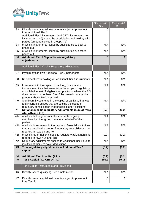

|                 |                                                                                                                                                                                                                                                                                | 30-June-21<br>\$m | 30-June-20<br>\$m |
|-----------------|--------------------------------------------------------------------------------------------------------------------------------------------------------------------------------------------------------------------------------------------------------------------------------|-------------------|-------------------|
| 33              | Directly issued capital instruments subject to phase out<br>from Additional Tier 1<br>Additional Tier 1 instruments (and CET1 instruments not<br>included in row 5) issued by subsidiaries and held by third<br>parties (amount allowed in group AT1)                          | 0                 | 0                 |
| 34              | of which: instruments issued by subsidiaries subject to<br>phase out                                                                                                                                                                                                           | N/A               | N/A               |
| 35              | of which: instruments issued by subsidiaries subject to<br>phase out                                                                                                                                                                                                           | N/A               | N/A               |
| 36              | <b>Additional Tier 1 Capital before regulatory</b><br>adjustments                                                                                                                                                                                                              | $\bf{0}$          | $\mathbf{0}$      |
|                 | Additional Tier 1 Capital Regulatory adjustments                                                                                                                                                                                                                               |                   |                   |
| 37              | Investments in own Additional Tier 1 instruments                                                                                                                                                                                                                               | N/A               | N/A               |
| 38              | Reciprocal cross-holdings in Additional Tier 1 instruments                                                                                                                                                                                                                     | N/A               | N/A               |
| 39              | Investments in the capital of banking, financial and<br>insurance entities that are outside the scope of regulatory<br>consolidation, net of eligible short positions, where the ADI<br>does not own more than 10% of the issued share capital<br>(amount above 10% threshold) | N/A               | N/A               |
| 40              | Significant investments in the capital of banking, financial<br>and insurance entities that are outside the scope of<br>regulatory consolidation (net of eligible short positions)                                                                                             | N/A               | N/A               |
| 41              | National specific regulatory adjustments (sum of rows<br>41a, 41b and 41c)                                                                                                                                                                                                     | (0.2)             | (0.2)             |
| 41a             | of which: holdings of capital instruments in group<br>members by other group members on behalf of third<br>parties                                                                                                                                                             | N/A               | N/A               |
| 41 <sub>b</sub> | of which: investments in the capital of financial institutions<br>that are outside the scope of regulatory consolidations not<br>reported in rows 39 and 40                                                                                                                    | N/A               | N/A               |
| 41c             | of which: other national specific regulatory adjustments not<br>reported in rows 41a and 41b                                                                                                                                                                                   | (0.2)             | (0.2)             |
| 42              | Regulatory adjustments applied to Additional Tier 1 due to<br>insufficient Tier 2 to cover deductions                                                                                                                                                                          | N/A               | N/A               |
| 43              | Total regulatory adjustments to Additional Tier 1<br>capital                                                                                                                                                                                                                   | (0.2)             | (0.2)             |
| 44              | <b>Additional Tier 1 capital (AT1)</b>                                                                                                                                                                                                                                         | (0.2)             | (0.2)             |
| 45              | Tier 1 Capital (T1=CET1+AT1)                                                                                                                                                                                                                                                   | 109.2             | 104.5             |
|                 | <b>Tier 2 Capital Instruments and Provisions</b>                                                                                                                                                                                                                               |                   |                   |
| 46              | Directly issued qualifying Tier 2 instruments                                                                                                                                                                                                                                  | N/A               | N/A               |
| 47              | Directly issued capital instruments subject to phase out<br>from Tier 2                                                                                                                                                                                                        | 0                 | 0                 |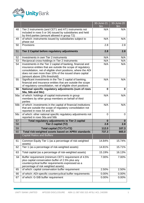

|     |                                                                                                                                                                                                                                                                                       | 30-June-21<br>\$m\$ | 30-June-20<br>\$m\$ |
|-----|---------------------------------------------------------------------------------------------------------------------------------------------------------------------------------------------------------------------------------------------------------------------------------------|---------------------|---------------------|
| 48  | Tier 2 instruments (and CET1 and AT1 instruments not<br>included in rows 5 or 34) issued by subsidiaries and held<br>by third parties (amount allowed in group T2)                                                                                                                    | N/A                 | N/A                 |
| 49  | of which: instruments issued by subsidiaries subject to<br>phase out                                                                                                                                                                                                                  | N/A                 | N/A                 |
| 50  | Provisions                                                                                                                                                                                                                                                                            | 2.8                 | 2.8                 |
| 51  | Tier 2 Capital before regulatory adjustments                                                                                                                                                                                                                                          | 2.8                 | 2.8                 |
| 52  | Investments in own Tier 2 instruments                                                                                                                                                                                                                                                 | N/A                 | N/A                 |
| 53  | Reciprocal cross-holdings in Tier 2 instruments                                                                                                                                                                                                                                       | N/A                 | N/A                 |
| 54  | Investments in the Tier 2 capital of banking, financial and<br>insurance entities that are outside the scope of regulatory<br>consolidation, net of eligible short positions, where the ADI<br>does not own more than 10% of the issued share capital<br>(amount above 10% threshold) | N/A                 | N/A                 |
| 55  | Significant investments in the Tier 2 capital of banking,<br>financial and insurance entities that are outside the scope<br>of regulatory consolidation, net of eligible short positions                                                                                              | N/A                 | N/A                 |
| 56  | National specific regulatory adjustments (sum of rows<br>56a, 56b and 56c)                                                                                                                                                                                                            | 0                   | $\mathbf{0}$        |
| 56a | of which: holdings of capital instruments in group<br>members by other group members on behalf of third<br>parties                                                                                                                                                                    | N/A                 | N/A                 |
| 56b | of which: investments in the capital of financial institutions<br>that are outside the scope of regulatory consolidation not<br>reported in rows 54 and 55                                                                                                                            | N/A                 | N/A                 |
| 56c | of which: other national specific regulatory adjustments not<br>reported in rows 56a and 56b                                                                                                                                                                                          | 0                   | $\overline{0}$      |
| 57  | Total regulatory adjustments to Tier 2 capital                                                                                                                                                                                                                                        | $\mathbf{0}$        | $\bf{0}$            |
| 58  | Tier 2 capital (T2)                                                                                                                                                                                                                                                                   | 2.8                 | 2.8                 |
| 59  | Total capital (TC=T1+T2)                                                                                                                                                                                                                                                              | 112.0               | 107.3               |
| 60  | Total risk-weighted assets based on APRA standards                                                                                                                                                                                                                                    | 737.3               | 665.0               |
|     | <b>Capital Ratios and Buffers</b>                                                                                                                                                                                                                                                     |                     |                     |
| 61  | Common Equity Tier 1 (as a percentage of risk-weighted<br>assets)                                                                                                                                                                                                                     | 14.84%              | 15.74%              |
| 62  | Tier 1 (as a percentage of risk-weighted assets)                                                                                                                                                                                                                                      | 14.81%              | 15.71%              |
| 63  | Total capital (as a percentage of risk-weighted assets)                                                                                                                                                                                                                               | 15.19%              | 16.13%              |
| 64  | Buffer requirement (minimum CET1 requirement of 4.5%<br>plus capital conservation buffer of 2.5% plus any<br>countercyclical buffer requirements expressed as a<br>percentage of risk weighted assets)                                                                                | 7.00%               | 7.00%               |
| 65  | of which: capital conservation buffer requirement                                                                                                                                                                                                                                     | 2.50%               | 2.50%               |
| 66  | of which: ADI-specific countercyclical buffer requirements                                                                                                                                                                                                                            | 0.00%               | 0.00%               |
| 67  | of which: G-SIB buffer requirement                                                                                                                                                                                                                                                    | 0.00%               | 0.00%               |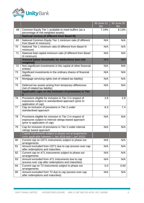

|    |                                                                                                                                                                                                    | 30-June-21<br>$\mathsf{Sm}$ | 30-June-20<br>$\mathsf{Sm}$ |
|----|----------------------------------------------------------------------------------------------------------------------------------------------------------------------------------------------------|-----------------------------|-----------------------------|
| 68 | Common Equity Tier 1 available to meet buffers (as a<br>percentage of risk-weighted assets)                                                                                                        | 7.19%                       | 8.13%                       |
|    | <b>National minima (if different from Basel III)</b>                                                                                                                                               |                             |                             |
| 69 | National Common Equity Tier 1 minimum ratio (if different<br>from Basel III minimum)                                                                                                               | N/A                         | N/A                         |
| 70 | National Tier 1 minimum ratio (if different from Basel III<br>minimum)                                                                                                                             | N/A                         | N/A                         |
| 71 | National total capital minimum ratio (if different from Basel<br>III minimum)                                                                                                                      | N/A                         | N/A                         |
|    | Amount below thresholds for deductions (not risk-<br>weighted)                                                                                                                                     | N/A                         | N/A                         |
| 72 | Non-significant investments in the capital of other financial<br>entities                                                                                                                          | N/A                         | N/A                         |
| 73 | Significant investments in the ordinary shares of financial<br>entities                                                                                                                            | N/A                         | N/A                         |
| 74 | Mortgage servicing rights (net of related tax liability)                                                                                                                                           | N/A                         | N/A                         |
| 75 | Deferred tax assets arising from temporary differences<br>(net of related tax liability)                                                                                                           | N/A                         | N/A                         |
|    | Applicable caps on the inclusion of provisions in Tier<br>$\mathbf{2}$                                                                                                                             |                             |                             |
| 76 | Provisions eligible for inclusion in Tier 2 in respect of<br>exposures subject to standardised approach (prior to<br>application of cap)                                                           | 2.8                         | 2.8                         |
| 77 | Cap on inclusion of provisions in Tier 2 under<br>standardised approach                                                                                                                            | 8.3                         | 7.4                         |
| 78 | Provisions eligible for inclusion in Tier 2 in respect of<br>exposures subject to internal ratings-based approach<br>(prior to application of cap)                                                 | N/A                         | N/A                         |
| 79 | Cap for inclusion of provisions in Tier 2 under internal<br>ratings based approach<br>Capital instruments subject to phase-out arrangements<br>(only applicable between 1 Jan 2018 and 1 Jan 2022) | N/A                         | N/A                         |
| 80 | Current cap on CET1 instruments subject to phase out<br>arrangements                                                                                                                               | N/A                         | N/A                         |
| 81 | Amount excluded from CET1 due to cap (excess over cap<br>after redemptions and maturities                                                                                                          | N/A                         | N/A                         |
| 82 | Current cap on AT1 instruments subject to phase out<br>arrangements                                                                                                                                | N/A                         | N/A                         |
| 83 | Amount excluded from AT1 instruments due to cap<br>(excess over cap after redemptions and maturities)                                                                                              | N/A                         | N/A                         |
| 84 | Current cap on T2 instruments subject to phase out<br>arrangements                                                                                                                                 | 0.0                         | 0.00                        |
| 85 | Amount excluded from T2 due to cap (excess over cap<br>after redemptions and maturities)                                                                                                           | N/A                         | N/A                         |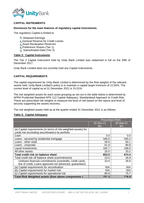

## **CAPITAL INSTRUMENTS**

#### **Disclosure for the main features of regulatory capital instruments.**

The regulatory Capital is limited to

- **C** Retained Earnings
- General Reserve for Credit Losses
- Asset Revaluation Reserves
- Preference Shares (Tier 1)
- Subordinated Debt (Tier 2)

#### **Table 2: Capital Instruments**

The Tier 2 Capital Instrument held by Unity Bank Limited was redeemed in full on the 29th of December 2017.

Unity Bank Limited does not currently hold any Capital Instruments.

#### **CAPITAL REQUIREMENTS**

The capital requirement for Unity Bank Limited is determined by the Risk weights of the relevant assets held. Unity Bank Limited's policy is to maintain a capital target minimum of 12.50%. The current level of capital as at 31 December 2021 is 15.01%.

The risk weighted assets for each asset grouping as set out in the table below is determined by APRA Prudential Standard APS 112 Capital Adequacy: Standardised Approach to Credit Risk. These are prescribed risk weights to measure the level of risk based on the nature and level of security supporting the assets recovery.

The risk weighted assets held as at the quarter ended 31 December 2021 is as follows:

## **Table 3: Capital Adequacy**

| <b>Prescribed RWA</b>                                                                                                  |                            |                  |  |  |
|------------------------------------------------------------------------------------------------------------------------|----------------------------|------------------|--|--|
|                                                                                                                        | 31-Dec-21<br>$\mathsf{Sm}$ | 30-Sep-21<br>\$m |  |  |
| (a) Capital requirements (in terms of risk-weighted assets) for<br>credit risk (excluding securitisation) by portfolio |                            |                  |  |  |
| Cash                                                                                                                   | 0.0                        | 0.0              |  |  |
| Loans - secured by residential mortgage                                                                                | 346.0                      | 345.3            |  |  |
| Loans - other retail                                                                                                   | 59.9                       | 60.1             |  |  |
| Loans - corporate                                                                                                      | 61.9                       | 80.8             |  |  |
| <b>Liquid Investments</b>                                                                                              | 165.7                      | 168.0            |  |  |
| All other assets                                                                                                       | 20.0                       | 20.2             |  |  |
| Total credit risk on balance sheet                                                                                     | 653.5                      | 674.4            |  |  |
| Total credit risk off balance sheet (commitments)                                                                      | 23.0                       | 26.8             |  |  |
| Undrawn financial commitments (overdrafts, credit cards,                                                               | 23.0                       | 26.8             |  |  |
| line of credit, Loans approved not advanced, guarantees)                                                               |                            |                  |  |  |
| (a) Capital requirements for securitisation                                                                            | N/A                        | N/A              |  |  |
| Capital requirements for market risk.<br>(b)                                                                           | N/A                        | N/A              |  |  |
| (c) Capital requirements for operational risk.                                                                         | 80.8                       | 75.7             |  |  |
| Total Risk Weighted assets (Sum above components)                                                                      | 757.3                      | 776.9            |  |  |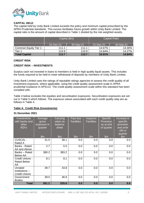

#### **CAPITAL HELD**

The capital held by Unity Bank Limited exceeds the policy and minimum capital prescribed by the APRA Prudential standards. This excess facilitates future growth within Unity Bank Limited. The capital ratio is the amount of capital described in Table 1 divided by the risk weighted assets.

|                      | Capital (\$m) |           |           | <b>Capital Ratio</b> |
|----------------------|---------------|-----------|-----------|----------------------|
|                      | 31-Dec-21     | 30-Sep-21 | 31-Dec-21 | 30-Sep-21            |
| Common Equity Tier 1 | 111.1         | 111.1     | 14.67%    | 14.30%               |
| Tier 1               | 110.9         | 110.9     | 14.64%    | 14.27%               |
| Total Capital        | 113.7         | 113.7     | 15.01%    | 14.64%               |

#### **CREDIT RISK**

#### **CREDIT RISK – INVESTMENTS**

Surplus cash not invested in loans to members is held in high quality liquid assets. This includes the funds required to be held to meet withdrawal of deposits by members of Unity Bank Limited.

Unity Bank Limited uses the ratings of reputable ratings agencies to assess the credit quality of all investment exposure, where applicable, using the credit quality assessment scale in APRA prudential Guidance in APS112. The credit quality assessment scale within this standard has been complied with.

Table 4 below excludes the equities and securitisation exposures. Securitisation exposures are set out in Table 5 which follows. The exposure values associated with each credit quality step are as follows in Table 4.

#### **Table 4: Credit Risk (Investments)**

#### **31 December 2021**

| <b>Investments</b><br>with banks and<br>other<br>ADI's | Average<br>gross<br>exposure in<br>quarter<br>$\mathsf{Sm}$ | Carrying<br>value on<br>balance<br>sheet<br>$\mathsf{Sm}$ | Past due<br><b>Facilities</b><br>\$m\$ | Impaired<br><b>Facilities</b><br>$\mathsf{Sm}$ | <b>Specific</b><br>Provision<br>as at end<br>of quarter<br>\$m\$ | Increase in<br>specific<br>provision<br>and write<br>offs in<br>quarter<br>$\mathsf{Sm}$ |
|--------------------------------------------------------|-------------------------------------------------------------|-----------------------------------------------------------|----------------------------------------|------------------------------------------------|------------------------------------------------------------------|------------------------------------------------------------------------------------------|
| <b>CUSCAL -</b><br>Rated A                             | 31.5                                                        | 38.1                                                      | 0.0                                    | 0.0                                            | 0.0                                                              | 0.0                                                                                      |
| Banks - Rated<br>AA and Above                          | 2.7                                                         | 5.5                                                       | 0.0                                    | 0.0                                            | 0.0                                                              | 0.0                                                                                      |
| Banks - Rated<br><b>Below AA</b>                       | 380.2                                                       | 383.2                                                     | 0.0                                    | 0.0                                            | 0.0                                                              | 0.0                                                                                      |
| Credit Unions -<br><b>Rated Below</b><br>AA            | 8.1                                                         | 8.1                                                       | 0.0                                    | 0.0                                            | 0.0                                                              | 0.0                                                                                      |
| Unrated<br>Institutions -<br><b>Credit Unions</b>      | 39.7                                                        | 43.8                                                      | 0.0                                    | 0.0                                            | 0.0                                                              | $0.0\,$                                                                                  |
| Government<br><b>Bodies</b>                            | 39.0                                                        | 46.9                                                      | 0.0                                    | 0.0                                            | 0.0                                                              | 0.0                                                                                      |
| <b>Total</b>                                           | 501.2                                                       | 525.6                                                     | 0.0                                    | 0.0                                            | 0.0                                                              | 0.0                                                                                      |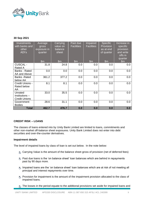

## **30 Sep 2021**

| Investments<br>with banks and<br>other<br>ADI's   | Average<br>gross<br>exposure in<br>quarter<br>$\mathsf{Sm}$ | Carrying<br>value on<br>balance<br>sheet<br>\$m\$ | Past due<br><b>Facilities</b><br>\$m\$ | Impaired<br><b>Facilities</b><br>$\mathsf{S}$ m | <b>Specific</b><br>Provision<br>as at end<br>of quarter<br>$\mathsf{Sm}$ | Increase in<br>specific<br>provision<br>and write<br>offs in<br>quarter<br>$\mathsf{Sm}$ |
|---------------------------------------------------|-------------------------------------------------------------|---------------------------------------------------|----------------------------------------|-------------------------------------------------|--------------------------------------------------------------------------|------------------------------------------------------------------------------------------|
| <b>CUSCAL -</b><br>Rated A                        | 31.8                                                        | 24.8                                              | 0.0                                    | 0.0                                             | 0.0                                                                      | 0.0                                                                                      |
| Banks - Rated<br>AA and Above                     | 0.0                                                         | 0.0                                               | 0.0                                    | 0.0                                             | 0.0                                                                      | 0.0                                                                                      |
| <b>Banks</b> - Rated<br>below AA                  | 361.2                                                       | 377.2                                             | 0.0                                    | 0.0                                             | 0.0                                                                      | 0.0                                                                                      |
| Credit Unions -<br>Rated below<br>AA              | 8.1                                                         | 8.1                                               | 0.0                                    | 0.0                                             | 0.0                                                                      | 0.0                                                                                      |
| Unrated<br>Institutions -<br><b>Credit Unions</b> | 33.0                                                        | 35.5                                              | 0.0                                    | 0.0                                             | 0.0                                                                      | 0.0                                                                                      |
| Government<br><b>Bodies</b>                       | 28.6                                                        | 31.1                                              | 0.0                                    | 0.0                                             | 0.0                                                                      | 0.0                                                                                      |
| <b>Total</b>                                      | 462.7                                                       | 476.7                                             | 0.0                                    | 0.0                                             | 0.0                                                                      | 0.0                                                                                      |

## **CREDIT RISK – LOANS**

The classes of loans entered into by Unity Bank Limited are limited to loans, commitments and other non-market off-balance sheet exposures. Unity Bank Limited does not enter into debt securities and over-the-counter derivatives.

#### **Impairment details**

The level of impaired loans by class of loan is set out below. In the note below:

- Carrying Value is the amount of the balance sheet gross of provision (net of deferred fees)
- Past due loans is the 'on balance sheet' loan balances which are behind in repayments past by 90 days more.
- Impaired loans are the 'on balance sheet' loan balances which are at risk of not meeting all principal and interest repayments over time.
- **•** Provision for impairment is the amount of the impairment provision allocated to the class of impaired loans.
- $\bullet$  The losses in the period equate to the additional provisions set aside for impaired loans and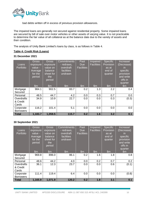

bad debts written off in excess of previous provision allowances.

The impaired loans are generally not secured against residential property. Some impaired loans are secured by bill of sale over motor vehicles or other assets of varying value. It is not practicable to determine the fair value of all collateral as at the balance date due to the variety of assets and their condition.

The analysis of Unity Bank Limited's loans by class, is as follows in Table 4.

## **Table 4: Credit Risk (Loans)**

#### **31 December 2021**

| Loans<br>Portfolio | Gross<br>exposure<br>value -<br>Average<br>for the<br>period<br>$\mathsf{Sm}$ | <b>Gross</b><br>exposure<br>value on<br>balance<br>sheet for<br>the<br>period<br>$\mathsf{S}$ m | <b>Commitments</b><br>- redraws,<br>overdraft<br>facilities<br>undrawn<br>$\mathsf{S}$ m | Past<br>Due:<br><b>Facilities</b><br>\$m\$ | Impaired<br><b>Facilities</b><br>\$m\$ | <b>Specific</b><br>Provision<br>as at<br>end of<br>quarter<br>$\mathsf{Sm}$ | Increase/<br>(Decrease)<br><u>in</u><br>specific<br>provision<br>and write<br>offs in<br>quarter<br>$\mathsf{Sm}$ |
|--------------------|-------------------------------------------------------------------------------|-------------------------------------------------------------------------------------------------|------------------------------------------------------------------------------------------|--------------------------------------------|----------------------------------------|-----------------------------------------------------------------------------|-------------------------------------------------------------------------------------------------------------------|
| Mortgage           | 984.1                                                                         | 902.5                                                                                           | 83.7                                                                                     | 0.2                                        | 1.3                                    | 2.2                                                                         | 0.4                                                                                                               |
| Secured            |                                                                               |                                                                                                 |                                                                                          |                                            |                                        |                                                                             |                                                                                                                   |
| Personal           | 48.5                                                                          | 44.7                                                                                            | 4.2                                                                                      | 0.0                                        | 0.3                                    | 0.7                                                                         | 0.0                                                                                                               |
| Overdrafts         | 34.9                                                                          | 10.9                                                                                            | 22.7                                                                                     | 0.0                                        | 0.0                                    | 0.3                                                                         | (0.3)                                                                                                             |
| & Credit           |                                                                               |                                                                                                 |                                                                                          |                                            |                                        |                                                                             |                                                                                                                   |
| Cards              |                                                                               |                                                                                                 |                                                                                          |                                            |                                        |                                                                             |                                                                                                                   |
| Corporate          | 116.2                                                                         | 101.4                                                                                           | 5.1                                                                                      | 0.0                                        | 0.0                                    | 0.0                                                                         | 0.0                                                                                                               |
| <b>Borrowers</b>   |                                                                               |                                                                                                 |                                                                                          |                                            |                                        |                                                                             |                                                                                                                   |
| <b>Total</b>       | 1,183.7                                                                       | 1,059.5                                                                                         | 115.7                                                                                    | 0.2                                        | 1.6                                    | 3.2                                                                         | 0.1                                                                                                               |

## **30 September 2021**

| Loans<br>Portfolio              | <b>Gross</b><br>exposure<br>value -<br>Average<br>for the<br>period | <b>Gross</b><br>exposure<br>value on<br>balance<br>sheet for<br>the<br>period | <b>Commitments</b><br>- redraws,<br>overdraft<br>facilities<br>undrawn | Past<br><b>Due</b><br><b>Facilities</b> | Impaired<br><b>Facilities</b> | <b>Specific</b><br>Provision<br>as at<br>end of<br>quarter | Increase/<br>(Decrease)<br>in.<br>specific<br>provision<br>and write<br>offs in |
|---------------------------------|---------------------------------------------------------------------|-------------------------------------------------------------------------------|------------------------------------------------------------------------|-----------------------------------------|-------------------------------|------------------------------------------------------------|---------------------------------------------------------------------------------|
|                                 | $\mathsf{Sm}$                                                       | $\mathsf{Sm}$                                                                 | $\mathsf{S}$ m                                                         | $\mathsf{Sm}$                           | $\mathsf{Sm}$                 | $\mathsf{Sm}$                                              | quarter<br>$\mathsf{Sm}$                                                        |
| Mortgage<br>Secured             | 969.8                                                               | 896.0                                                                         | 86.1                                                                   | 0.2                                     | 1.6                           | 1.8                                                        | 0.8                                                                             |
| Personal                        | 48.6                                                                | 44.2                                                                          | 4.0                                                                    | 0.0                                     | 0.2                           | 0.7                                                        | 0.2                                                                             |
| Overdrafts<br>& Credit<br>Cards | 36.1                                                                | 12.3                                                                          | 23.7                                                                   | 0.0                                     | 0.0                           | 0.6                                                        | (0.1)                                                                           |
| Corporate<br><b>Borrowers</b>   | 111.4                                                               | 119.4                                                                         | 6.4                                                                    | 0.0                                     | 0.0                           | 0.0                                                        | (0.8)                                                                           |
| Total                           | 1,165.9                                                             | 1,071.9                                                                       | 120.2                                                                  | 0.2                                     | 1.8                           | 3.1                                                        | 0.1                                                                             |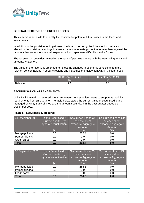

## **GENERAL RESERVE FOR CREDIT LOSSES**

This reserve is set aside to quantify the estimate for potential future losses in the loans and investments.

In addition to the provision for impairment, the board has recognised the need to make an allocation from retained earnings to ensure there is adequate protection for members against the prospect that some members will experience loan repayment difficulties in the future.

The reserve has been determined on the basis of past experience with the loan delinquency and amounts written off.

The value of the reserve is amended to reflect the changes in economic conditions, and the relevant concentrations in specific regions and industries of employment within the loan book.

|                | 31 December 2021<br>\$m | 30 September 2021 |
|----------------|-------------------------|-------------------|
| <b>Balance</b> | 2.8                     | റ റ<br>د.ب        |

#### **SECURITISATION ARRANGEMENTS**

Unity Bank Limited has entered into arrangements for securitised loans to support its liquidity requirements from time to time. The table below states the current value of securitised loans managed by Unity Bank Limited and the amount securitised in the past quarter ended 31 December 2021.

#### **Table 5: Securitised Exposures**

| 31 December 2021 | Loans Securitised in<br>Current quarter, by<br>type of securitisation<br>$\mathsf{Sm}$ | <b>Securitised Loans On</b><br>balance sheet<br>exposure Aggregate<br>Amount<br>$\mathsf{Sm}$ | <b>Securitised Loans Off</b><br>balance sheet<br>exposure Aggregate<br>Amount<br>$\mathsf{Sm}$ |
|------------------|----------------------------------------------------------------------------------------|-----------------------------------------------------------------------------------------------|------------------------------------------------------------------------------------------------|
| Mortgage loans   | 0.0                                                                                    | 282.4                                                                                         | 0.0                                                                                            |
| Personal loans   | 0.0                                                                                    | 0.0                                                                                           | 0.0                                                                                            |
| Credit cards     | 0.0                                                                                    | 0.0                                                                                           | 0.0                                                                                            |
| <b>Total</b>     | 0.0                                                                                    | 282.4                                                                                         | 0.0                                                                                            |

| 30 September 2021 | <b>Loans Securitised in</b><br>Current quarter, by<br>type of securitisation<br>$\mathsf{Sm}$ | <b>Securitised Loans On</b><br>balance sheet<br>exposure Aggregate<br>Amount<br>l\$m. | <b>Securitised Loans Off</b><br>balance sheet<br>exposure Aggregate<br>Amount<br>$\mathsf{Sm}$ |
|-------------------|-----------------------------------------------------------------------------------------------|---------------------------------------------------------------------------------------|------------------------------------------------------------------------------------------------|
| Mortgage loans    | 0.0                                                                                           | 264.3                                                                                 | 0.0                                                                                            |
| Personal loans    | 0.0                                                                                           | 0.0                                                                                   | 0.0                                                                                            |
| Credit cards      | 0.0                                                                                           | 0.0                                                                                   | 0.0                                                                                            |
| <b>Total</b>      | 0.0                                                                                           | 264.3                                                                                 | 0.0                                                                                            |